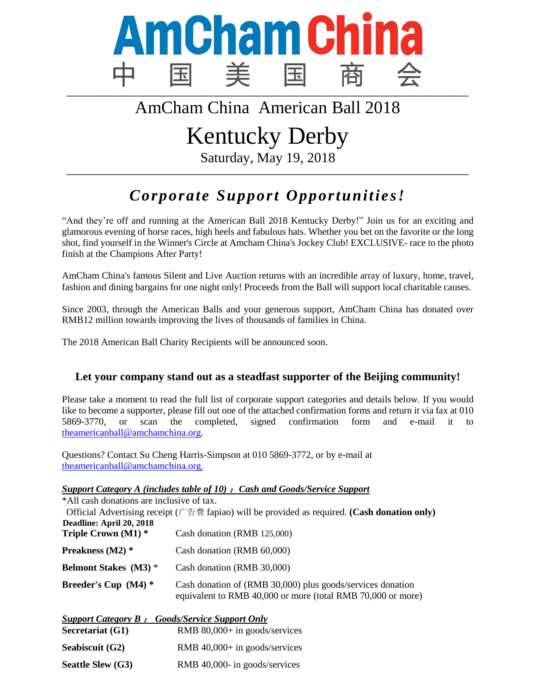

## AmCham China American Ball 2018

# Kentucky Derby

Saturday, May 19, 2018 **\_\_\_\_\_\_\_\_\_\_\_\_\_\_\_\_\_\_\_\_\_\_\_\_\_\_\_\_\_\_\_\_\_\_\_\_\_\_\_\_\_\_\_\_\_\_\_\_\_\_\_\_\_\_\_\_\_\_\_\_\_\_\_\_\_\_\_\_\_\_\_\_\_\_\_\_\_\_\_\_\_\_\_\_\_\_\_\_\_\_\_\_**

## *Corporate Support Opportunities!*

"And they're off and running at the American Ball 2018 Kentucky Derby!" Join us for an exciting and glamorous evening of horse races, high heels and fabulous hats. Whether you bet on the favorite or the long shot, find yourself in the Winner's Circle at Amcham China's Jockey Club! EXCLUSIVE- race to the photo finish at the Champions After Party!

AmCham China's famous Silent and Live Auction returns with an incredible array of luxury, home, travel, fashion and dining bargains for one night only! Proceeds from the Ball will support local charitable causes.

Since 2003, through the American Balls and your generous support, AmCham China has donated over RMB12 million towards improving the lives of thousands of families in China.

The 2018 American Ball Charity Recipients will be announced soon.

#### **Let your company stand out as a steadfast supporter of the Beijing community!**

Please take a moment to read the full list of corporate support categories and details below. If you would like to become a supporter, please fill out one of the attached confirmation forms and return it via fax at 010 5869-3770, or scan the completed, signed confirmation form and e-mail it to [theamericanball@amchamchina.org.](mailto:theamericanball@amchamchina.org)

Questions? Contact Su Cheng Harris-Simpson at 010 5869-3772, or by e-mail at [theamericanball@amchamchina.org.](mailto:theamericanball@amchamchina.org)

#### *Support Category A (includes table of 10)* :*Cash and Goods/Service Support*

\*All cash donations are inclusive of tax.

 Official Advertising receipt (广告费 fapiao) will be provided as required. **(Cash donation only) Deadline: April 20, 2018 Triple Crown (M1) \*** Cash donation (RMB 125,000) **Preakness (M2) \*** Cash donation (RMB 60,000)

- **Belmont Stakes (M3)** \* Cash donation (RMB 30,000)
- **Breeder's Cup (M4) \*** Cash donation of (RMB 30,000) plus goods/services donation equivalent to RMB 40,000 or more (total RMB 70,000 or more)

|                   | <b>Support Category B: Goods/Service Support Only</b> |
|-------------------|-------------------------------------------------------|
| Secretariat (G1)  | RMB $80,000+$ in goods/services                       |
| Seabiscuit (G2)   | RMB $40,000+$ in goods/services                       |
| Seattle Slew (G3) | RMB 40,000- in goods/services                         |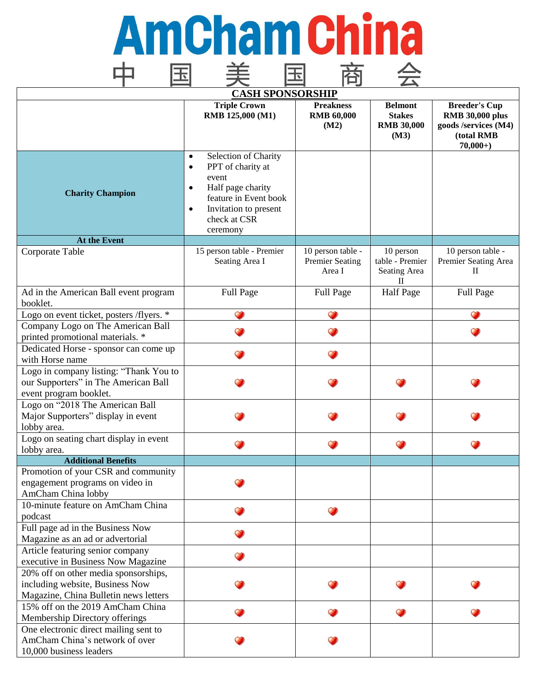## **Amcham china** 中 美国商会 国

| <b>CASH SPONSORSHIP</b>                                                                                          |                                                                                                                                                                                                           |                                                       |                                                              |                                                                                                   |
|------------------------------------------------------------------------------------------------------------------|-----------------------------------------------------------------------------------------------------------------------------------------------------------------------------------------------------------|-------------------------------------------------------|--------------------------------------------------------------|---------------------------------------------------------------------------------------------------|
|                                                                                                                  | <b>Triple Crown</b><br>RMB 125,000 (M1)                                                                                                                                                                   | <b>Preakness</b><br><b>RMB 60,000</b><br>(M2)         | <b>Belmont</b><br><b>Stakes</b><br><b>RMB 30,000</b><br>(M3) | <b>Breeder's Cup</b><br><b>RMB 30,000 plus</b><br>goods /services (M4)<br>(total RMB<br>$70,000+$ |
| <b>Charity Champion</b>                                                                                          | Selection of Charity<br>$\bullet$<br>PPT of charity at<br>$\bullet$<br>event<br>Half page charity<br>$\bullet$<br>feature in Event book<br>Invitation to present<br>$\bullet$<br>check at CSR<br>ceremony |                                                       |                                                              |                                                                                                   |
| At the Event                                                                                                     |                                                                                                                                                                                                           |                                                       |                                                              |                                                                                                   |
| Corporate Table                                                                                                  | 15 person table - Premier<br>Seating Area I                                                                                                                                                               | 10 person table -<br><b>Premier Seating</b><br>Area I | 10 person<br>table - Premier<br>Seating Area<br>П            | 10 person table -<br>Premier Seating Area<br>$\mathbf{I}$                                         |
| Ad in the American Ball event program<br>booklet.                                                                | Full Page                                                                                                                                                                                                 | Full Page                                             | <b>Half Page</b>                                             | Full Page                                                                                         |
| Logo on event ticket, posters /flyers. *                                                                         |                                                                                                                                                                                                           |                                                       |                                                              |                                                                                                   |
| Company Logo on The American Ball<br>printed promotional materials. *                                            |                                                                                                                                                                                                           |                                                       |                                                              |                                                                                                   |
| Dedicated Horse - sponsor can come up<br>with Horse name                                                         |                                                                                                                                                                                                           |                                                       |                                                              |                                                                                                   |
| Logo in company listing: "Thank You to<br>our Supporters" in The American Ball<br>event program booklet.         |                                                                                                                                                                                                           |                                                       |                                                              |                                                                                                   |
| Logo on "2018 The American Ball<br>Major Supporters" display in event<br>lobby area.                             |                                                                                                                                                                                                           |                                                       |                                                              |                                                                                                   |
| Logo on seating chart display in event<br>lobby area.                                                            |                                                                                                                                                                                                           |                                                       |                                                              |                                                                                                   |
| <b>Additional Benefits</b>                                                                                       |                                                                                                                                                                                                           |                                                       |                                                              |                                                                                                   |
| Promotion of your CSR and community<br>engagement programs on video in<br>AmCham China lobby                     |                                                                                                                                                                                                           |                                                       |                                                              |                                                                                                   |
| 10-minute feature on AmCham China<br>podcast                                                                     |                                                                                                                                                                                                           |                                                       |                                                              |                                                                                                   |
| Full page ad in the Business Now<br>Magazine as an ad or advertorial                                             |                                                                                                                                                                                                           |                                                       |                                                              |                                                                                                   |
| Article featuring senior company<br>executive in Business Now Magazine                                           |                                                                                                                                                                                                           |                                                       |                                                              |                                                                                                   |
| 20% off on other media sponsorships,<br>including website, Business Now<br>Magazine, China Bulletin news letters |                                                                                                                                                                                                           |                                                       |                                                              |                                                                                                   |
| 15% off on the 2019 AmCham China<br>Membership Directory offerings                                               |                                                                                                                                                                                                           |                                                       |                                                              |                                                                                                   |
| One electronic direct mailing sent to<br>AmCham China's network of over<br>10,000 business leaders               |                                                                                                                                                                                                           |                                                       |                                                              |                                                                                                   |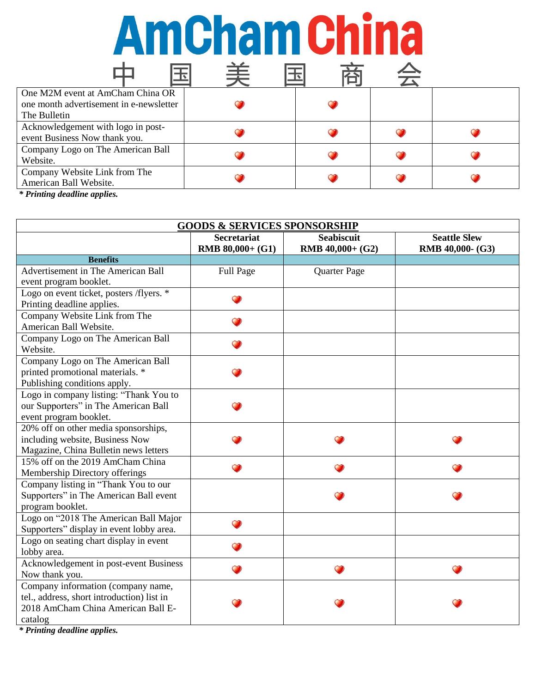# Amcham china

|                                         | 手 |  |  |
|-----------------------------------------|---|--|--|
| One M2M event at AmCham China OR        |   |  |  |
| one month advertisement in e-newsletter |   |  |  |
| The Bulletin                            |   |  |  |
| Acknowledgement with logo in post-      |   |  |  |
| event Business Now thank you.           |   |  |  |
| Company Logo on The American Ball       |   |  |  |
| Website.                                |   |  |  |
| Company Website Link from The           |   |  |  |
| American Ball Website.                  |   |  |  |

*\* Printing deadline applies.*

|                                                                        | <b>GOODS &amp; SERVICES SPONSORSHIP</b> |                                       |                                         |
|------------------------------------------------------------------------|-----------------------------------------|---------------------------------------|-----------------------------------------|
|                                                                        | <b>Secretariat</b><br>RMB 80,000+ (G1)  | <b>Seabiscuit</b><br>RMB 40,000+ (G2) | <b>Seattle Slew</b><br>RMB 40,000- (G3) |
| <b>Benefits</b>                                                        |                                         |                                       |                                         |
| Advertisement in The American Ball                                     | Full Page                               | Quarter Page                          |                                         |
| event program booklet.                                                 |                                         |                                       |                                         |
| Logo on event ticket, posters /flyers. *<br>Printing deadline applies. |                                         |                                       |                                         |
| Company Website Link from The                                          |                                         |                                       |                                         |
| American Ball Website.                                                 |                                         |                                       |                                         |
| Company Logo on The American Ball                                      |                                         |                                       |                                         |
| Website.                                                               |                                         |                                       |                                         |
| Company Logo on The American Ball                                      |                                         |                                       |                                         |
| printed promotional materials. *                                       |                                         |                                       |                                         |
| Publishing conditions apply.                                           |                                         |                                       |                                         |
| Logo in company listing: "Thank You to                                 |                                         |                                       |                                         |
| our Supporters" in The American Ball                                   |                                         |                                       |                                         |
| event program booklet.                                                 |                                         |                                       |                                         |
| 20% off on other media sponsorships,                                   |                                         |                                       |                                         |
| including website, Business Now                                        |                                         |                                       |                                         |
| Magazine, China Bulletin news letters                                  |                                         |                                       |                                         |
| 15% off on the 2019 AmCham China                                       |                                         |                                       |                                         |
| Membership Directory offerings                                         |                                         |                                       |                                         |
| Company listing in "Thank You to our                                   |                                         |                                       |                                         |
| Supporters" in The American Ball event                                 |                                         |                                       |                                         |
| program booklet.                                                       |                                         |                                       |                                         |
| Logo on "2018 The American Ball Major                                  |                                         |                                       |                                         |
| Supporters" display in event lobby area.                               |                                         |                                       |                                         |
| Logo on seating chart display in event                                 |                                         |                                       |                                         |
| lobby area.                                                            |                                         |                                       |                                         |
| Acknowledgement in post-event Business                                 |                                         |                                       |                                         |
| Now thank you.                                                         |                                         |                                       |                                         |
| Company information (company name,                                     |                                         |                                       |                                         |
| tel., address, short introduction) list in                             |                                         |                                       |                                         |
| 2018 AmCham China American Ball E-                                     |                                         |                                       |                                         |
| catalog                                                                |                                         |                                       |                                         |

*\* Printing deadline applies.*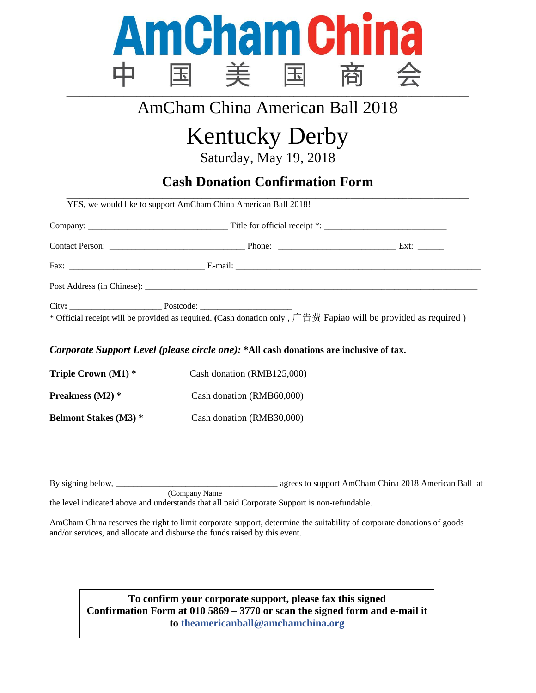

### AmCham China American Ball 2018

# Kentucky Derby

Saturday, May 19, 2018

#### **Cash Donation Confirmation Form \_\_\_\_\_\_\_\_\_\_\_\_\_\_\_\_\_\_\_\_\_\_\_\_\_\_\_\_\_\_\_\_\_\_\_\_\_\_\_\_\_\_\_\_\_\_\_\_\_\_\_\_\_\_\_\_\_\_\_\_\_\_\_\_\_\_\_\_\_\_\_\_\_\_\_\_\_\_\_\_\_\_\_\_\_\_\_\_\_\_\_\_**

*Corporate Support Level (please circle one):* **\*All cash donations are inclusive of tax.**

| Triple Crown $(M1)$ *        | Cash donation (RMB125,000) |
|------------------------------|----------------------------|
| Preakness (M2) *             | Cash donation (RMB60,000)  |
| <b>Belmont Stakes (M3)</b> * | Cash donation (RMB30,000)  |

By signing below, \_\_\_\_\_\_\_\_\_\_\_\_\_\_\_\_\_\_\_\_\_\_\_\_\_\_\_\_\_\_\_\_\_\_\_\_\_ agrees to support AmCham China 2018 American Ball at (Company Name the level indicated above and understands that all paid Corporate Support is non-refundable.

AmCham China reserves the right to limit corporate support, determine the suitability of corporate donations of goods and/or services, and allocate and disburse the funds raised by this event.

**To confirm your corporate support, please fax this signed Confirmation Form at 010 5869 – 3770 or scan the signed form and e-mail it to [theamericanball@amchamchina.org](mailto:theamericanball@amchamchina.org)**